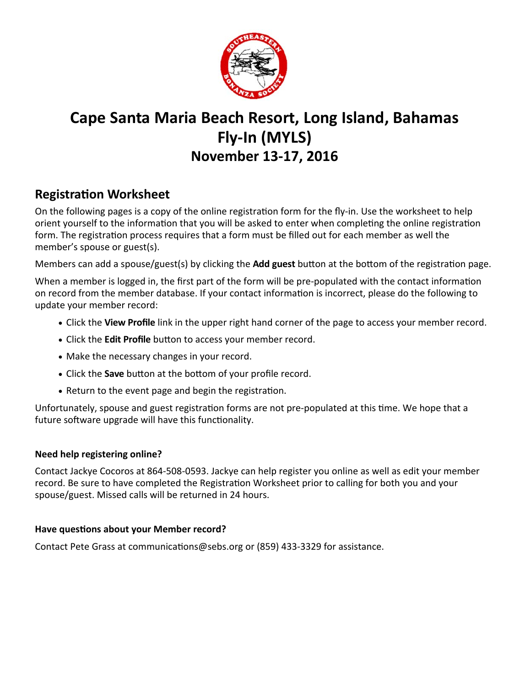

## **Cape Santa Maria Beach Resort, Long Island, Bahamas Fly‐In (MYLS) November 13‐17, 2016**

## **RegistraƟon Worksheet**

On the following pages is a copy of the online registration form for the fly-in. Use the worksheet to help orient yourself to the information that you will be asked to enter when completing the online registration form. The registration process requires that a form must be filled out for each member as well the member's spouse or guest(s).

Members can add a spouse/guest(s) by clicking the **Add guest** button at the bottom of the registration page.

When a member is logged in, the first part of the form will be pre-populated with the contact information on record from the member database. If your contact information is incorrect, please do the following to update your member record:

- Click the **View Profile** link in the upper right hand corner of the page to access your member record.
- Click the **Edit Profile** button to access your member record.
- Make the necessary changes in your record.
- Click the **Save** button at the bottom of your profile record.
- Return to the event page and begin the registration.

Unfortunately, spouse and guest registration forms are not pre-populated at this time. We hope that a future software upgrade will have this functionality.

## **Need help registering online?**

Contact Jackye Cocoros at 864‐508‐0593. Jackye can help register you online as well as edit your member record. Be sure to have completed the Registration Worksheet prior to calling for both you and your spouse/guest. Missed calls will be returned in 24 hours.

## Have questions about your Member record?

Contact Pete Grass at communications@sebs.org or (859) 433-3329 for assistance.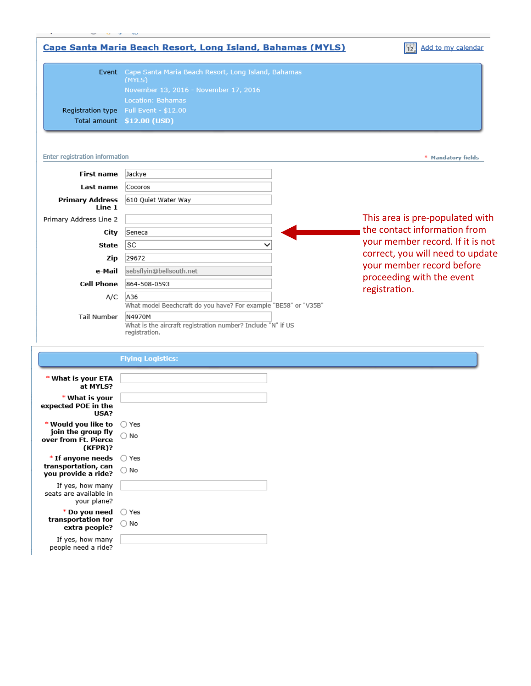

|                                                                              | <b>Flying Logistics:</b> |  |
|------------------------------------------------------------------------------|--------------------------|--|
| * What is your ETA<br>at MYLS?                                               |                          |  |
| * What is your<br>expected POE in the<br>USA?                                |                          |  |
| * Would you like to<br>join the group fly<br>over from Ft. Pierce<br>(KFPR)? | ◯ Yes<br>$\bigcirc$ No   |  |
| * If anyone needs<br>transportation, can<br>you provide a ride?              | ◯ Yes<br>$\bigcirc$ No   |  |
| If yes, how many<br>seats are available in<br>your plane?                    |                          |  |
| * Do you need<br>transportation for<br>extra people?                         | ◯ Yes<br>$\bigcirc$ No   |  |
| If yes, how many<br>people need a ride?                                      |                          |  |